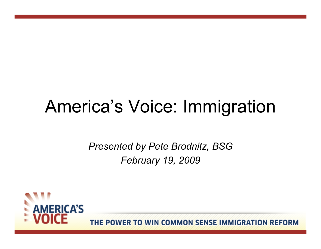## America's Voice: Immigration

*Presented by Pete Brodnitz, BSG February 19, 2009*

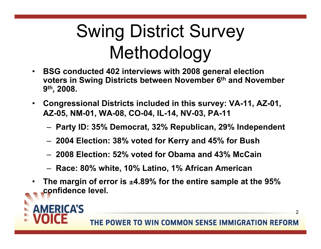# Swing District Survey Methodology

- **BSG conducted 402 interviews with 2008 general election voters in Swing Districts between November 6th and November 9th, 2008.**
- **Congressional Districts included in this survey: VA-11, AZ-01, AZ-05, NM-01, WA-08, CO-04, IL-14, NV-03, PA-11**
	- **Party ID: 35% Democrat, 32% Republican, 29% Independent**
	- **2004 Election: 38% voted for Kerry and 45% for Bush**
	- **2008 Election: 52% voted for Obama and 43% McCain**
	- **Race: 80% white, 10% Latino, 1% African American**
- **The margin of error is** ±**4.89% for the entire sample at the 95% confidence level.**

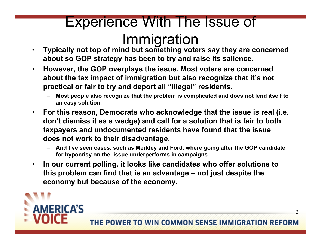# Experience With The Issue of

- **Immigration**<br>• Typically not top of mind but something voters say they are concerned **about so GOP strategy has been to try and raise its salience.**
- **However, the GOP overplays the issue. Most voters are concerned about the tax impact of immigration but also recognize that it's not practical or fair to try and deport all "illegal" residents.**
	- **Most people also recognize that the problem is complicated and does not lend itself to an easy solution.**
- **For this reason, Democrats who acknowledge that the issue is real (i.e. don't dismiss it as a wedge) and call for a solution that is fair to both taxpayers and undocumented residents have found that the issue does not work to their disadvantage.**
	- **And I've seen cases, such as Merkley and Ford, where going after the GOP candidate for hypocrisy on the issue underperforms in campaigns.**
- **In our current polling, it looks like candidates who offer solutions to this problem can find that is an advantage – not just despite the economy but because of the economy.**



THE POWER TO WIN COMMON SENSE IMMIGRATION REFORM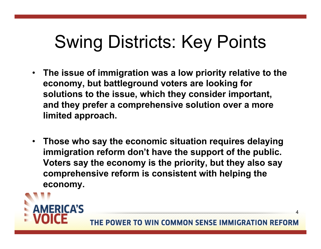# Swing Districts: Key Points

- **The issue of immigration was a low priority relative to the economy, but battleground voters are looking for solutions to the issue, which they consider important, and they prefer a comprehensive solution over a more limited approach.**
- **Those who say the economic situation requires delaying immigration reform don't have the support of the public. Voters say the economy is the priority, but they also say comprehensive reform is consistent with helping the economy.**

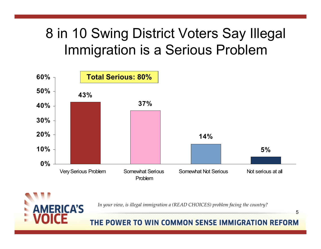#### 8 in 10 Swing District Voters Say Illegal Immigration is a Serious Problem



**ERICA'S** 

*In your view, is illegal immigration a (READ CHOICES) problem facing the country?*

THE POWER TO WIN COMMON SENSE IMMIGRATION REFORM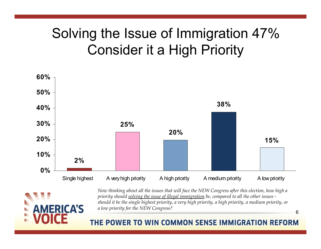#### Solving the Issue of Immigration 47% Consider it a High Priority





*Now thinking about all the issues that will face the NEW Congress after this election, how high a priority should solving the issue of illegal immigration be, compared to all the other issues should it be the single highest priority, a very high priority, a high priority, a medium priority, or a low priority for the NEW Congress?*

THE POWER TO WIN COMMON SENSE IMMIGRATION REFORM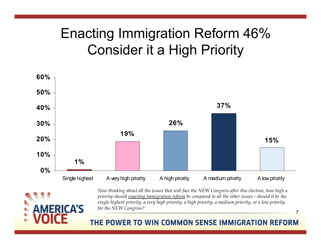#### Enacting Immigration Reform 46% Consider it a High Priority





*Now thinking about all the issues that will face the NEW Congress after this election, how high a priority should enacting immigration reform be compared to all the other issues - should it be the single highest priority, a very high priority, a high priority, a medium priority, or a low priority for the NEW Congress?*

THE POWER TO WIN COMMON SENSE IMMIGRATION REFORM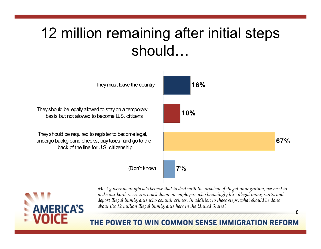### 12 million remaining after initial steps should…





*Most government officials believe that to deal with the problem of illegal immigration, we need to make our borders secure, crack down on employers who knowingly hire illegal immigrants, and deport illegal immigrants who commit crimes. In addition to these steps, what should be done about the 12 million illegal immigrants here in the United States?*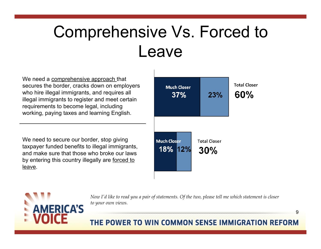### Comprehensive Vs. Forced to Leave

We need a comprehensive approach that secures the border, cracks down on employers who hire illegal immigrants, and requires all illegal immigrants to register and meet certain requirements to become legal, including working, paying taxes and learning English.

We need to secure our border, stop giving taxpayer funded benefits to illegal immigrants, and make sure that those who broke our laws by entering this country illegally are forced to leave.





*Now I'd like to read you a pair of statements. Of the two, please tell me which statement is closer to your own views.*

#### THE POWER TO WIN COMMON SENSE IMMIGRATION REFORM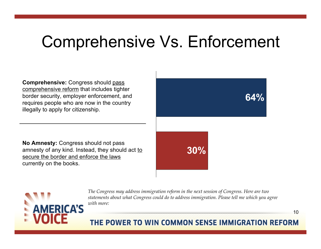### Comprehensive Vs. Enforcement

**Comprehensive:** Congress should pass comprehensive reform that includes tighter border security, employer enforcement, and requires people who are now in the country illegally to apply for citizenship.

**No Amnesty:** Congress should not pass amnesty of any kind. Instead, they should act to secure the border and enforce the laws currently on the books.





*The Congress may address immigration reform in the next session of Congress. Here are two statements about what Congress could do to address immigration. Please tell me which you agree with more:*

#### THE POWER TO WIN COMMON SENSE IMMIGRATION REFORM